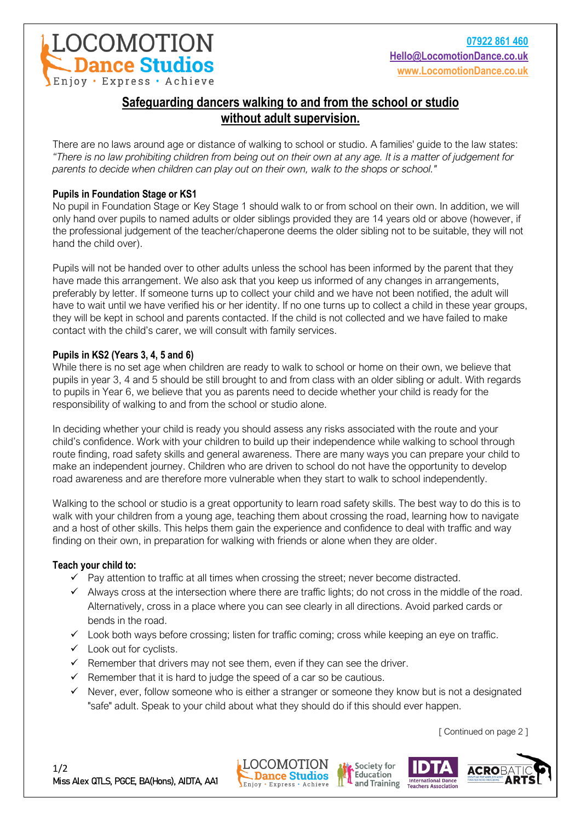

# **Safeguarding dancers walking to and from the school or studio without adult supervision.**

There are no laws around age or distance of walking to school or studio. A families' guide to the law states: *"There is no law prohibiting children from being out on their own at any age. It is a matter of judgement for parents to decide when children can play out on their own, walk to the shops or school."*

# **Pupils in Foundation Stage or KS1**

No pupil in Foundation Stage or Key Stage 1 should walk to or from school on their own. In addition, we will only hand over pupils to named adults or older siblings provided they are 14 years old or above (however, if the professional judgement of the teacher/chaperone deems the older sibling not to be suitable, they will not hand the child over).

Pupils will not be handed over to other adults unless the school has been informed by the parent that they have made this arrangement. We also ask that you keep us informed of any changes in arrangements, preferably by letter. If someone turns up to collect your child and we have not been notified, the adult will have to wait until we have verified his or her identity. If no one turns up to collect a child in these year groups, they will be kept in school and parents contacted. If the child is not collected and we have failed to make contact with the child's carer, we will consult with family services.

## **Pupils in KS2 (Years 3, 4, 5 and 6)**

While there is no set age when children are ready to walk to school or home on their own, we believe that pupils in year 3, 4 and 5 should be still brought to and from class with an older sibling or adult. With regards to pupils in Year 6, we believe that you as parents need to decide whether your child is ready for the responsibility of walking to and from the school or studio alone.

In deciding whether your child is ready you should assess any risks associated with the route and your child's confidence. Work with your children to build up their independence while walking to school through route finding, road safety skills and general awareness. There are many ways you can prepare your child to make an independent journey. Children who are driven to school do not have the opportunity to develop road awareness and are therefore more vulnerable when they start to walk to school independently.

Walking to the school or studio is a great opportunity to learn road safety skills. The best way to do this is to walk with your children from a young age, teaching them about crossing the road, learning how to navigate and a host of other skills. This helps them gain the experience and confidence to deal with traffic and way finding on their own, in preparation for walking with friends or alone when they are older.

## **Teach your child to:**

- ✓ Pay attention to traffic at all times when crossing the street; never become distracted.
- $\checkmark$  Always cross at the intersection where there are traffic lights; do not cross in the middle of the road. Alternatively, cross in a place where you can see clearly in all directions. Avoid parked cards or bends in the road.
- ✓ Look both ways before crossing; listen for traffic coming; cross while keeping an eye on traffic.
- $\checkmark$  Look out for cyclists.
- $\checkmark$  Remember that drivers may not see them, even if they can see the driver.
- $\checkmark$  Remember that it is hard to judge the speed of a car so be cautious.
- $\checkmark$  Never, ever, follow someone who is either a stranger or someone they know but is not a designated "safe" adult. Speak to your child about what they should do if this should ever happen.

[ Continued on page 2 ]